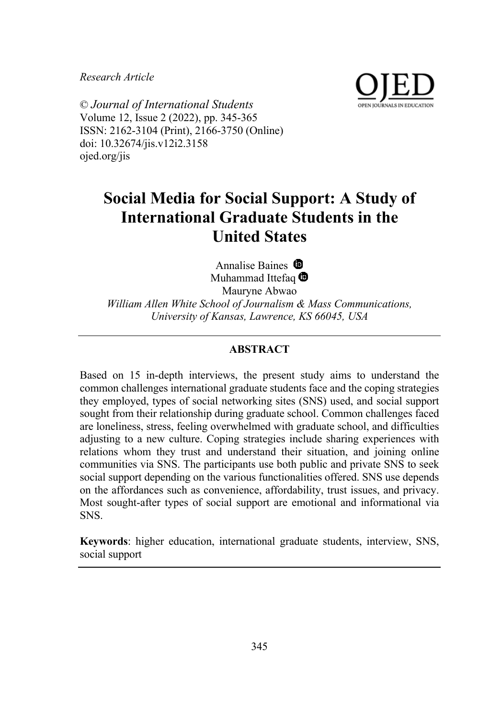*Research Article*



© *Journal of International Students* Volume 12, Issue 2 (2022), pp. 345-365 ISSN: 2162-3104 (Print), 2166-3750 (Online) doi: 10.32674/jis.v12i2.3158 ojed.org/jis

# **Social Media for Social Support: A Study of International Graduate Students in the United States**

Annalise Baines  $\mathbf{\mathbf{\Theta}}$ Muhammad Ittefaq <sup>1</sup>

Mauryne Abwao *William Allen White School of Journalism & Mass Communications, University of Kansas, Lawrence, KS 66045, USA*

## **ABSTRACT**

Based on 15 in-depth interviews, the present study aims to understand the common challenges international graduate students face and the coping strategies they employed, types of social networking sites (SNS) used, and social support sought from their relationship during graduate school. Common challenges faced are loneliness, stress, feeling overwhelmed with graduate school, and difficulties adjusting to a new culture. Coping strategies include sharing experiences with relations whom they trust and understand their situation, and joining online communities via SNS. The participants use both public and private SNS to seek social support depending on the various functionalities offered. SNS use depends on the affordances such as convenience, affordability, trust issues, and privacy. Most sought-after types of social support are emotional and informational via SNS.

**Keywords**: higher education, international graduate students, interview, SNS, social support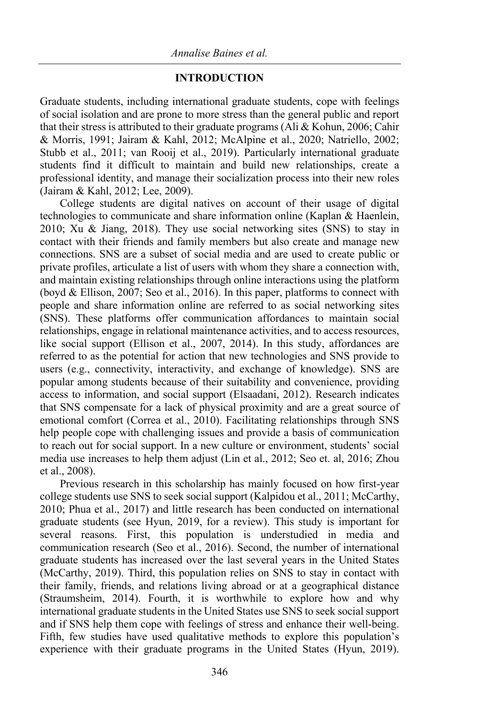## **INTRODUCTION**

Graduate students, including international graduate students, cope with feelings of social isolation and are prone to more stress than the general public and report that their stress is attributed to their graduate programs (Ali & Kohun, 2006; Cahir & Morris, 1991; Jairam & Kahl, 2012; McAlpine et al., 2020; Natriello, 2002; Stubb et al., 2011; van Rooij et al., 2019). Particularly international graduate students find it difficult to maintain and build new relationships, create a professional identity, and manage their socialization process into their new roles (Jairam & Kahl, 2012; Lee, 2009).

College students are digital natives on account of their usage of digital technologies to communicate and share information online (Kaplan & Haenlein, 2010; Xu & Jiang, 2018). They use social networking sites (SNS) to stay in contact with their friends and family members but also create and manage new connections. SNS are a subset of social media and are used to create public or private profiles, articulate a list of users with whom they share a connection with, and maintain existing relationships through online interactions using the platform (boyd & Ellison, 2007; Seo et al., 2016). In this paper, platforms to connect with people and share information online are referred to as social networking sites (SNS). These platforms offer communication affordances to maintain social relationships, engage in relational maintenance activities, and to access resources, like social support (Ellison et al., 2007, 2014). In this study, affordances are referred to as the potential for action that new technologies and SNS provide to users (e.g., connectivity, interactivity, and exchange of knowledge). SNS are popular among students because of their suitability and convenience, providing access to information, and social support (Elsaadani, 2012). Research indicates that SNS compensate for a lack of physical proximity and are a great source of emotional comfort (Correa et al., 2010). Facilitating relationships through SNS help people cope with challenging issues and provide a basis of communication to reach out for social support. In a new culture or environment, students' social media use increases to help them adjust (Lin et al., 2012; Seo et. al, 2016; Zhou et al., 2008).

Previous research in this scholarship has mainly focused on how first-year college students use SNS to seek social support (Kalpidou et al., 2011; McCarthy, 2010; Phua et al., 2017) and little research has been conducted on international graduate students (see Hyun, 2019, for a review). This study is important for several reasons. First, this population is understudied in media and communication research (Seo et al., 2016). Second, the number of international graduate students has increased over the last several years in the United States (McCarthy, 2019). Third, this population relies on SNS to stay in contact with their family, friends, and relations living abroad or at a geographical distance (Straumsheim, 2014). Fourth, it is worthwhile to explore how and why international graduate students in the United States use SNS to seek social support and if SNS help them cope with feelings of stress and enhance their well-being. Fifth, few studies have used qualitative methods to explore this population's experience with their graduate programs in the United States (Hyun, 2019).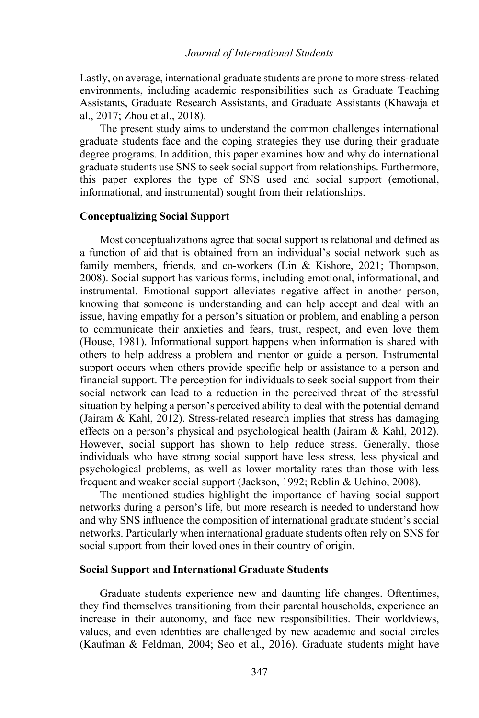Lastly, on average, international graduate students are prone to more stress-related environments, including academic responsibilities such as Graduate Teaching Assistants, Graduate Research Assistants, and Graduate Assistants (Khawaja et al., 2017; Zhou et al., 2018).

The present study aims to understand the common challenges international graduate students face and the coping strategies they use during their graduate degree programs. In addition, this paper examines how and why do international graduate students use SNS to seek social support from relationships. Furthermore, this paper explores the type of SNS used and social support (emotional, informational, and instrumental) sought from their relationships.

### **Conceptualizing Social Support**

Most conceptualizations agree that social support is relational and defined as a function of aid that is obtained from an individual's social network such as family members, friends, and co-workers (Lin & Kishore, 2021; Thompson, 2008). Social support has various forms, including emotional, informational, and instrumental. Emotional support alleviates negative affect in another person, knowing that someone is understanding and can help accept and deal with an issue, having empathy for a person's situation or problem, and enabling a person to communicate their anxieties and fears, trust, respect, and even love them (House, 1981). Informational support happens when information is shared with others to help address a problem and mentor or guide a person. Instrumental support occurs when others provide specific help or assistance to a person and financial support. The perception for individuals to seek social support from their social network can lead to a reduction in the perceived threat of the stressful situation by helping a person's perceived ability to deal with the potential demand (Jairam & Kahl, 2012). Stress-related research implies that stress has damaging effects on a person's physical and psychological health (Jairam & Kahl, 2012). However, social support has shown to help reduce stress. Generally, those individuals who have strong social support have less stress, less physical and psychological problems, as well as lower mortality rates than those with less frequent and weaker social support (Jackson, 1992; Reblin & Uchino, 2008).

The mentioned studies highlight the importance of having social support networks during a person's life, but more research is needed to understand how and why SNS influence the composition of international graduate student's social networks. Particularly when international graduate students often rely on SNS for social support from their loved ones in their country of origin.

#### **Social Support and International Graduate Students**

Graduate students experience new and daunting life changes. Oftentimes, they find themselves transitioning from their parental households, experience an increase in their autonomy, and face new responsibilities. Their worldviews, values, and even identities are challenged by new academic and social circles (Kaufman & Feldman, 2004; Seo et al., 2016). Graduate students might have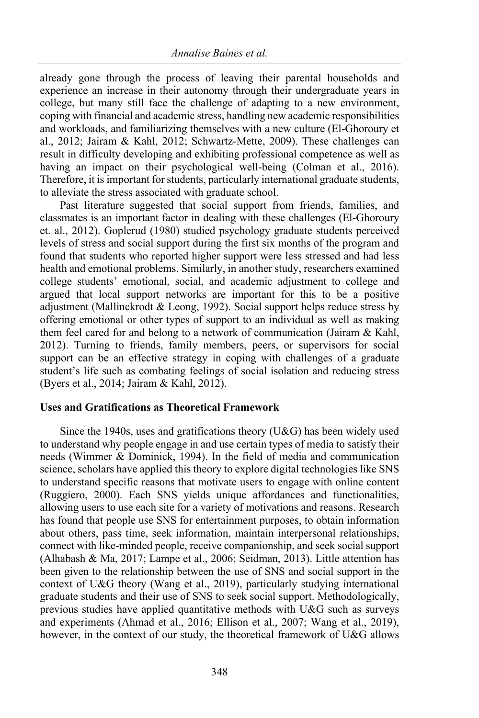already gone through the process of leaving their parental households and experience an increase in their autonomy through their undergraduate years in college, but many still face the challenge of adapting to a new environment, coping with financial and academic stress, handling new academic responsibilities and workloads, and familiarizing themselves with a new culture (El-Ghoroury et al., 2012; Jairam & Kahl, 2012; Schwartz-Mette, 2009). These challenges can result in difficulty developing and exhibiting professional competence as well as having an impact on their psychological well-being (Colman et al., 2016). Therefore, it is important for students, particularly international graduate students, to alleviate the stress associated with graduate school.

Past literature suggested that social support from friends, families, and classmates is an important factor in dealing with these challenges (El-Ghoroury et. al., 2012). Goplerud (1980) studied psychology graduate students perceived levels of stress and social support during the first six months of the program and found that students who reported higher support were less stressed and had less health and emotional problems. Similarly, in another study, researchers examined college students' emotional, social, and academic adjustment to college and argued that local support networks are important for this to be a positive adjustment (Mallinckrodt & Leong, 1992). Social support helps reduce stress by offering emotional or other types of support to an individual as well as making them feel cared for and belong to a network of communication (Jairam & Kahl, 2012). Turning to friends, family members, peers, or supervisors for social support can be an effective strategy in coping with challenges of a graduate student's life such as combating feelings of social isolation and reducing stress (Byers et al., 2014; Jairam & Kahl, 2012).

## **Uses and Gratifications as Theoretical Framework**

Since the 1940s, uses and gratifications theory (U&G) has been widely used to understand why people engage in and use certain types of media to satisfy their needs (Wimmer & Dominick, 1994). In the field of media and communication science, scholars have applied this theory to explore digital technologies like SNS to understand specific reasons that motivate users to engage with online content (Ruggiero, 2000). Each SNS yields unique affordances and functionalities, allowing users to use each site for a variety of motivations and reasons. Research has found that people use SNS for entertainment purposes, to obtain information about others, pass time, seek information, maintain interpersonal relationships, connect with like-minded people, receive companionship, and seek social support (Alhabash & Ma, 2017; Lampe et al., 2006; Seidman, 2013). Little attention has been given to the relationship between the use of SNS and social support in the context of U&G theory (Wang et al., 2019), particularly studying international graduate students and their use of SNS to seek social support. Methodologically, previous studies have applied quantitative methods with U&G such as surveys and experiments (Ahmad et al., 2016; Ellison et al., 2007; Wang et al., 2019), however, in the context of our study, the theoretical framework of U&G allows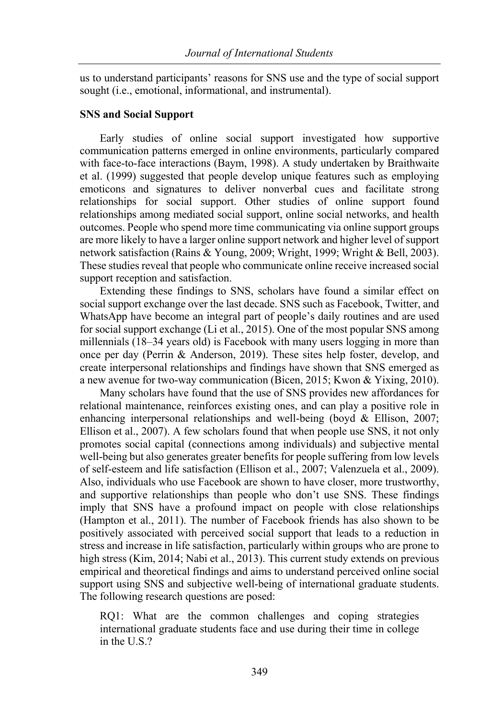us to understand participants' reasons for SNS use and the type of social support sought (i.e., emotional, informational, and instrumental).

### **SNS and Social Support**

Early studies of online social support investigated how supportive communication patterns emerged in online environments, particularly compared with face-to-face interactions (Baym, 1998). A study undertaken by Braithwaite et al. (1999) suggested that people develop unique features such as employing emoticons and signatures to deliver nonverbal cues and facilitate strong relationships for social support. Other studies of online support found relationships among mediated social support, online social networks, and health outcomes. People who spend more time communicating via online support groups are more likely to have a larger online support network and higher level of support network satisfaction (Rains & Young, 2009; Wright, 1999; Wright & Bell, 2003). These studies reveal that people who communicate online receive increased social support reception and satisfaction.

Extending these findings to SNS, scholars have found a similar effect on social support exchange over the last decade. SNS such as Facebook, Twitter, and WhatsApp have become an integral part of people's daily routines and are used for social support exchange (Li et al., 2015). One of the most popular SNS among millennials (18–34 years old) is Facebook with many users logging in more than once per day (Perrin & Anderson, 2019). These sites help foster, develop, and create interpersonal relationships and findings have shown that SNS emerged as a new avenue for two-way communication (Bicen, 2015; Kwon & Yixing, 2010).

Many scholars have found that the use of SNS provides new affordances for relational maintenance, reinforces existing ones, and can play a positive role in enhancing interpersonal relationships and well-being (boyd & Ellison, 2007; Ellison et al., 2007). A few scholars found that when people use SNS, it not only promotes social capital (connections among individuals) and subjective mental well-being but also generates greater benefits for people suffering from low levels of self-esteem and life satisfaction (Ellison et al., 2007; Valenzuela et al., 2009). Also, individuals who use Facebook are shown to have closer, more trustworthy, and supportive relationships than people who don't use SNS. These findings imply that SNS have a profound impact on people with close relationships (Hampton et al., 2011). The number of Facebook friends has also shown to be positively associated with perceived social support that leads to a reduction in stress and increase in life satisfaction, particularly within groups who are prone to high stress (Kim, 2014; Nabi et al., 2013). This current study extends on previous empirical and theoretical findings and aims to understand perceived online social support using SNS and subjective well-being of international graduate students. The following research questions are posed:

RQ1: What are the common challenges and coping strategies international graduate students face and use during their time in college in the U.S.?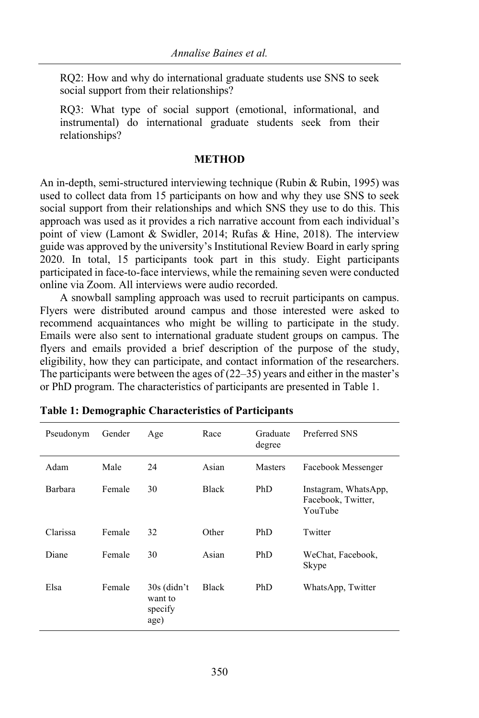RQ2: How and why do international graduate students use SNS to seek social support from their relationships?

RQ3: What type of social support (emotional, informational, and instrumental) do international graduate students seek from their relationships?

### **METHOD**

An in-depth, semi-structured interviewing technique (Rubin & Rubin, 1995) was used to collect data from 15 participants on how and why they use SNS to seek social support from their relationships and which SNS they use to do this. This approach was used as it provides a rich narrative account from each individual's point of view (Lamont & Swidler, 2014; Rufas & Hine, 2018). The interview guide was approved by the university's Institutional Review Board in early spring 2020. In total, 15 participants took part in this study. Eight participants participated in face-to-face interviews, while the remaining seven were conducted online via Zoom. All interviews were audio recorded.

A snowball sampling approach was used to recruit participants on campus. Flyers were distributed around campus and those interested were asked to recommend acquaintances who might be willing to participate in the study. Emails were also sent to international graduate student groups on campus. The flyers and emails provided a brief description of the purpose of the study, eligibility, how they can participate, and contact information of the researchers. The participants were between the ages of  $(22-35)$  years and either in the master's or PhD program. The characteristics of participants are presented in Table 1.

| Pseudonym | Gender | Age                                         | Race  | Graduate<br>degree | Preferred SNS                                         |
|-----------|--------|---------------------------------------------|-------|--------------------|-------------------------------------------------------|
| Adam      | Male   | 24                                          | Asian | Masters            | Facebook Messenger                                    |
| Barbara   | Female | 30                                          | Black | PhD                | Instagram, WhatsApp,<br>Facebook, Twitter,<br>YouTube |
| Clarissa  | Female | 32                                          | Other | PhD                | Twitter                                               |
| Diane     | Female | 30                                          | Asian | PhD                | WeChat, Facebook,<br>Skype                            |
| Elsa      | Female | $30s$ (didn't<br>want to<br>specify<br>age) | Black | PhD                | WhatsApp, Twitter                                     |

**Table 1: Demographic Characteristics of Participants**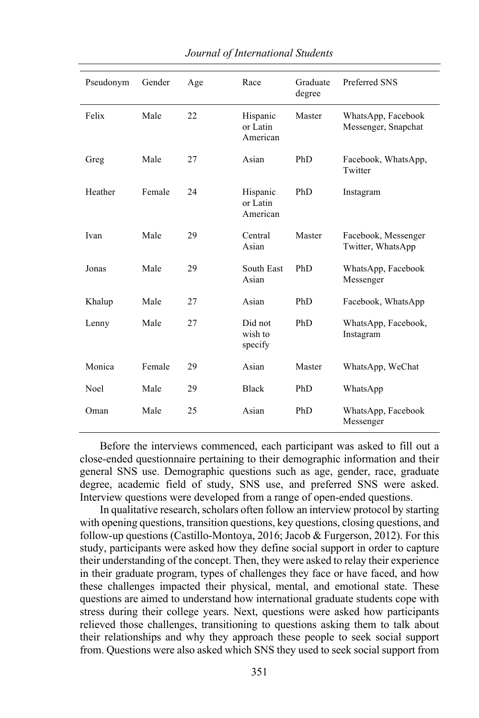| Pseudonym | Gender | Age | Race                             | Graduate<br>degree | Preferred SNS                             |
|-----------|--------|-----|----------------------------------|--------------------|-------------------------------------------|
| Felix     | Male   | 22  | Hispanic<br>or Latin<br>American | Master             | WhatsApp, Facebook<br>Messenger, Snapchat |
| Greg      | Male   | 27  | Asian                            | PhD                | Facebook, WhatsApp,<br>Twitter            |
| Heather   | Female | 24  | Hispanic<br>or Latin<br>American | PhD                | Instagram                                 |
| Ivan      | Male   | 29  | Central<br>Asian                 | Master             | Facebook, Messenger<br>Twitter, WhatsApp  |
| Jonas     | Male   | 29  | South East<br>Asian              | PhD                | WhatsApp, Facebook<br>Messenger           |
| Khalup    | Male   | 27  | Asian                            | PhD                | Facebook, WhatsApp                        |
| Lenny     | Male   | 27  | Did not<br>wish to<br>specify    | PhD                | WhatsApp, Facebook,<br>Instagram          |
| Monica    | Female | 29  | Asian                            | Master             | WhatsApp, WeChat                          |
| Noel      | Male   | 29  | <b>Black</b>                     | PhD                | WhatsApp                                  |
| Oman      | Male   | 25  | Asian                            | PhD                | WhatsApp, Facebook<br>Messenger           |

Before the interviews commenced, each participant was asked to fill out a close-ended questionnaire pertaining to their demographic information and their general SNS use. Demographic questions such as age, gender, race, graduate degree, academic field of study, SNS use, and preferred SNS were asked. Interview questions were developed from a range of open-ended questions.

In qualitative research, scholars often follow an interview protocol by starting with opening questions, transition questions, key questions, closing questions, and follow-up questions (Castillo-Montoya, 2016; Jacob & Furgerson, 2012). For this study, participants were asked how they define social support in order to capture their understanding of the concept. Then, they were asked to relay their experience in their graduate program, types of challenges they face or have faced, and how these challenges impacted their physical, mental, and emotional state. These questions are aimed to understand how international graduate students cope with stress during their college years. Next, questions were asked how participants relieved those challenges, transitioning to questions asking them to talk about their relationships and why they approach these people to seek social support from. Questions were also asked which SNS they used to seek social support from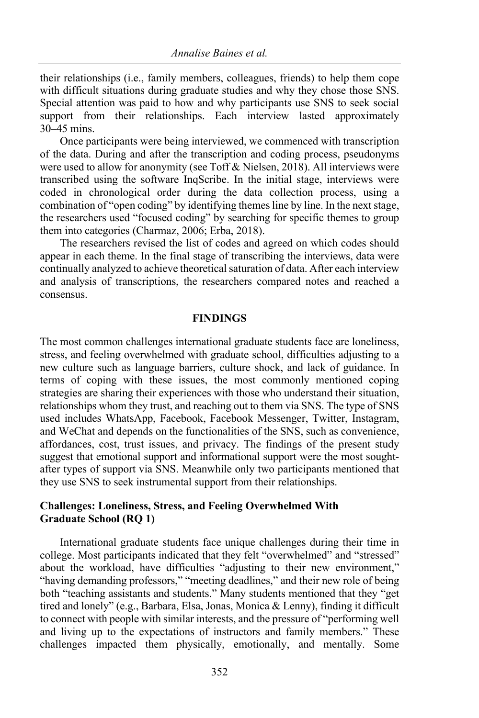their relationships (i.e., family members, colleagues, friends) to help them cope with difficult situations during graduate studies and why they chose those SNS. Special attention was paid to how and why participants use SNS to seek social support from their relationships. Each interview lasted approximately 30–45 mins.

Once participants were being interviewed, we commenced with transcription of the data. During and after the transcription and coding process, pseudonyms were used to allow for anonymity (see Toff & Nielsen, 2018). All interviews were transcribed using the software InqScribe. In the initial stage, interviews were coded in chronological order during the data collection process, using a combination of "open coding" by identifying themes line by line. In the next stage, the researchers used "focused coding" by searching for specific themes to group them into categories (Charmaz, 2006; Erba, 2018).

The researchers revised the list of codes and agreed on which codes should appear in each theme. In the final stage of transcribing the interviews, data were continually analyzed to achieve theoretical saturation of data. After each interview and analysis of transcriptions, the researchers compared notes and reached a consensus.

#### **FINDINGS**

The most common challenges international graduate students face are loneliness, stress, and feeling overwhelmed with graduate school, difficulties adjusting to a new culture such as language barriers, culture shock, and lack of guidance. In terms of coping with these issues, the most commonly mentioned coping strategies are sharing their experiences with those who understand their situation, relationships whom they trust, and reaching out to them via SNS. The type of SNS used includes WhatsApp, Facebook, Facebook Messenger, Twitter, Instagram, and WeChat and depends on the functionalities of the SNS, such as convenience, affordances, cost, trust issues, and privacy. The findings of the present study suggest that emotional support and informational support were the most soughtafter types of support via SNS. Meanwhile only two participants mentioned that they use SNS to seek instrumental support from their relationships.

## **Challenges: Loneliness, Stress, and Feeling Overwhelmed With Graduate School (RQ 1)**

International graduate students face unique challenges during their time in college. Most participants indicated that they felt "overwhelmed" and "stressed" about the workload, have difficulties "adjusting to their new environment," "having demanding professors," "meeting deadlines," and their new role of being both "teaching assistants and students." Many students mentioned that they "get tired and lonely" (e.g., Barbara, Elsa, Jonas, Monica & Lenny), finding it difficult to connect with people with similar interests, and the pressure of "performing well and living up to the expectations of instructors and family members." These challenges impacted them physically, emotionally, and mentally. Some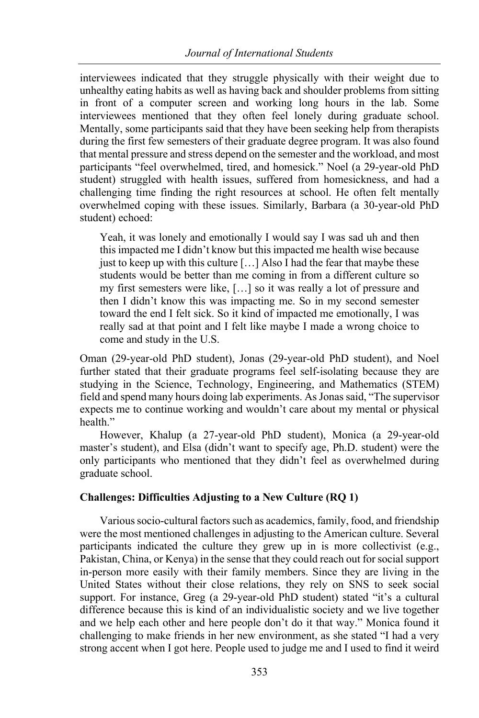interviewees indicated that they struggle physically with their weight due to unhealthy eating habits as well as having back and shoulder problems from sitting in front of a computer screen and working long hours in the lab. Some interviewees mentioned that they often feel lonely during graduate school. Mentally, some participants said that they have been seeking help from therapists during the first few semesters of their graduate degree program. It was also found that mental pressure and stress depend on the semester and the workload, and most participants "feel overwhelmed, tired, and homesick." Noel (a 29-year-old PhD student) struggled with health issues, suffered from homesickness, and had a challenging time finding the right resources at school. He often felt mentally overwhelmed coping with these issues. Similarly, Barbara (a 30-year-old PhD student) echoed:

Yeah, it was lonely and emotionally I would say I was sad uh and then this impacted me I didn't know but this impacted me health wise because just to keep up with this culture  $[...]$  Also I had the fear that maybe these students would be better than me coming in from a different culture so my first semesters were like, […] so it was really a lot of pressure and then I didn't know this was impacting me. So in my second semester toward the end I felt sick. So it kind of impacted me emotionally, I was really sad at that point and I felt like maybe I made a wrong choice to come and study in the U.S.

Oman (29-year-old PhD student), Jonas (29-year-old PhD student), and Noel further stated that their graduate programs feel self-isolating because they are studying in the Science, Technology, Engineering, and Mathematics (STEM) field and spend many hours doing lab experiments. As Jonas said, "The supervisor expects me to continue working and wouldn't care about my mental or physical health"

However, Khalup (a 27-year-old PhD student), Monica (a 29-year-old master's student), and Elsa (didn't want to specify age, Ph.D. student) were the only participants who mentioned that they didn't feel as overwhelmed during graduate school.

## **Challenges: Difficulties Adjusting to a New Culture (RQ 1)**

Various socio-cultural factors such as academics, family, food, and friendship were the most mentioned challenges in adjusting to the American culture. Several participants indicated the culture they grew up in is more collectivist (e.g., Pakistan, China, or Kenya) in the sense that they could reach out for social support in-person more easily with their family members. Since they are living in the United States without their close relations, they rely on SNS to seek social support. For instance, Greg (a 29-year-old PhD student) stated "it's a cultural difference because this is kind of an individualistic society and we live together and we help each other and here people don't do it that way." Monica found it challenging to make friends in her new environment, as she stated "I had a very strong accent when I got here. People used to judge me and I used to find it weird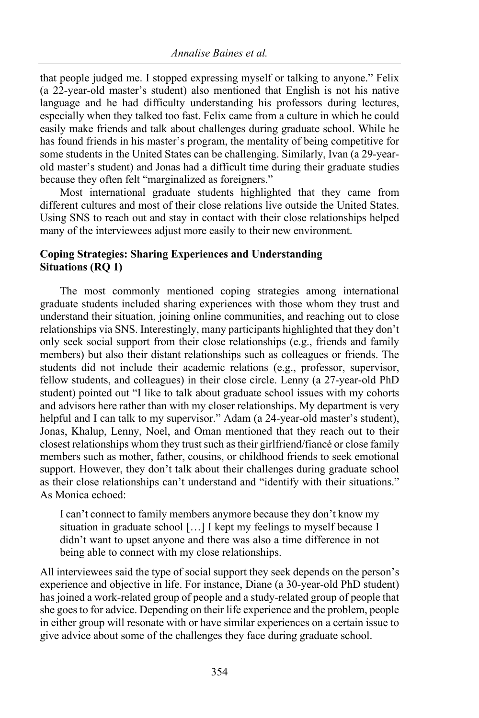that people judged me. I stopped expressing myself or talking to anyone." Felix (a 22-year-old master's student) also mentioned that English is not his native language and he had difficulty understanding his professors during lectures, especially when they talked too fast. Felix came from a culture in which he could easily make friends and talk about challenges during graduate school. While he has found friends in his master's program, the mentality of being competitive for some students in the United States can be challenging. Similarly, Ivan (a 29-yearold master's student) and Jonas had a difficult time during their graduate studies because they often felt "marginalized as foreigners."

Most international graduate students highlighted that they came from different cultures and most of their close relations live outside the United States. Using SNS to reach out and stay in contact with their close relationships helped many of the interviewees adjust more easily to their new environment.

# **Coping Strategies: Sharing Experiences and Understanding Situations (RQ 1)**

The most commonly mentioned coping strategies among international graduate students included sharing experiences with those whom they trust and understand their situation, joining online communities, and reaching out to close relationships via SNS. Interestingly, many participants highlighted that they don't only seek social support from their close relationships (e.g., friends and family members) but also their distant relationships such as colleagues or friends. The students did not include their academic relations (e.g., professor, supervisor, fellow students, and colleagues) in their close circle. Lenny (a 27-year-old PhD student) pointed out "I like to talk about graduate school issues with my cohorts and advisors here rather than with my closer relationships. My department is very helpful and I can talk to my supervisor." Adam (a 24-year-old master's student), Jonas, Khalup, Lenny, Noel, and Oman mentioned that they reach out to their closest relationships whom they trust such as their girlfriend/fiancé or close family members such as mother, father, cousins, or childhood friends to seek emotional support. However, they don't talk about their challenges during graduate school as their close relationships can't understand and "identify with their situations." As Monica echoed:

I can't connect to family members anymore because they don't know my situation in graduate school […] I kept my feelings to myself because I didn't want to upset anyone and there was also a time difference in not being able to connect with my close relationships.

All interviewees said the type of social support they seek depends on the person's experience and objective in life. For instance, Diane (a 30-year-old PhD student) has joined a work-related group of people and a study-related group of people that she goes to for advice. Depending on their life experience and the problem, people in either group will resonate with or have similar experiences on a certain issue to give advice about some of the challenges they face during graduate school.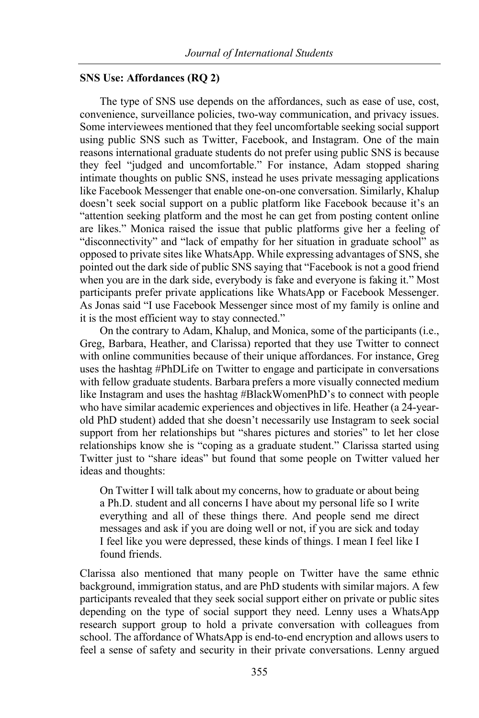### **SNS Use: Affordances (RQ 2)**

The type of SNS use depends on the affordances, such as ease of use, cost, convenience, surveillance policies, two-way communication, and privacy issues. Some interviewees mentioned that they feel uncomfortable seeking social support using public SNS such as Twitter, Facebook, and Instagram. One of the main reasons international graduate students do not prefer using public SNS is because they feel "judged and uncomfortable." For instance, Adam stopped sharing intimate thoughts on public SNS, instead he uses private messaging applications like Facebook Messenger that enable one-on-one conversation. Similarly, Khalup doesn't seek social support on a public platform like Facebook because it's an "attention seeking platform and the most he can get from posting content online are likes." Monica raised the issue that public platforms give her a feeling of "disconnectivity" and "lack of empathy for her situation in graduate school" as opposed to private sites like WhatsApp. While expressing advantages of SNS, she pointed out the dark side of public SNS saying that "Facebook is not a good friend when you are in the dark side, everybody is fake and everyone is faking it." Most participants prefer private applications like WhatsApp or Facebook Messenger. As Jonas said "I use Facebook Messenger since most of my family is online and it is the most efficient way to stay connected."

On the contrary to Adam, Khalup, and Monica, some of the participants (i.e., Greg, Barbara, Heather, and Clarissa) reported that they use Twitter to connect with online communities because of their unique affordances. For instance, Greg uses the hashtag #PhDLife on Twitter to engage and participate in conversations with fellow graduate students. Barbara prefers a more visually connected medium like Instagram and uses the hashtag #BlackWomenPhD's to connect with people who have similar academic experiences and objectives in life. Heather (a 24-yearold PhD student) added that she doesn't necessarily use Instagram to seek social support from her relationships but "shares pictures and stories" to let her close relationships know she is "coping as a graduate student." Clarissa started using Twitter just to "share ideas" but found that some people on Twitter valued her ideas and thoughts:

On Twitter I will talk about my concerns, how to graduate or about being a Ph.D. student and all concerns I have about my personal life so I write everything and all of these things there. And people send me direct messages and ask if you are doing well or not, if you are sick and today I feel like you were depressed, these kinds of things. I mean I feel like I found friends.

Clarissa also mentioned that many people on Twitter have the same ethnic background, immigration status, and are PhD students with similar majors. A few participants revealed that they seek social support either on private or public sites depending on the type of social support they need. Lenny uses a WhatsApp research support group to hold a private conversation with colleagues from school. The affordance of WhatsApp is end-to-end encryption and allows users to feel a sense of safety and security in their private conversations. Lenny argued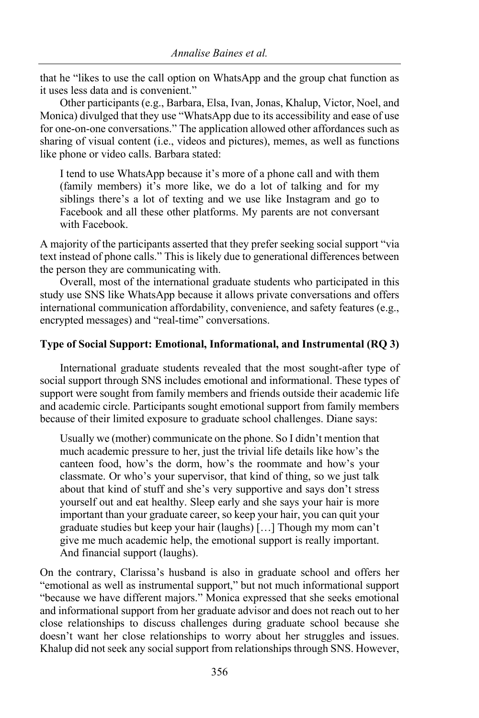that he "likes to use the call option on WhatsApp and the group chat function as it uses less data and is convenient."

Other participants (e.g., Barbara, Elsa, Ivan, Jonas, Khalup, Victor, Noel, and Monica) divulged that they use "WhatsApp due to its accessibility and ease of use for one-on-one conversations." The application allowed other affordances such as sharing of visual content (i.e., videos and pictures), memes, as well as functions like phone or video calls. Barbara stated:

I tend to use WhatsApp because it's more of a phone call and with them (family members) it's more like, we do a lot of talking and for my siblings there's a lot of texting and we use like Instagram and go to Facebook and all these other platforms. My parents are not conversant with Facebook.

A majority of the participants asserted that they prefer seeking social support "via text instead of phone calls." This is likely due to generational differences between the person they are communicating with.

Overall, most of the international graduate students who participated in this study use SNS like WhatsApp because it allows private conversations and offers international communication affordability, convenience, and safety features (e.g., encrypted messages) and "real-time" conversations.

## **Type of Social Support: Emotional, Informational, and Instrumental (RQ 3)**

International graduate students revealed that the most sought-after type of social support through SNS includes emotional and informational. These types of support were sought from family members and friends outside their academic life and academic circle. Participants sought emotional support from family members because of their limited exposure to graduate school challenges. Diane says:

Usually we (mother) communicate on the phone. So I didn't mention that much academic pressure to her, just the trivial life details like how's the canteen food, how's the dorm, how's the roommate and how's your classmate. Or who's your supervisor, that kind of thing, so we just talk about that kind of stuff and she's very supportive and says don't stress yourself out and eat healthy. Sleep early and she says your hair is more important than your graduate career, so keep your hair, you can quit your graduate studies but keep your hair (laughs) […] Though my mom can't give me much academic help, the emotional support is really important. And financial support (laughs).

On the contrary, Clarissa's husband is also in graduate school and offers her "emotional as well as instrumental support," but not much informational support "because we have different majors." Monica expressed that she seeks emotional and informational support from her graduate advisor and does not reach out to her close relationships to discuss challenges during graduate school because she doesn't want her close relationships to worry about her struggles and issues. Khalup did not seek any social support from relationships through SNS. However,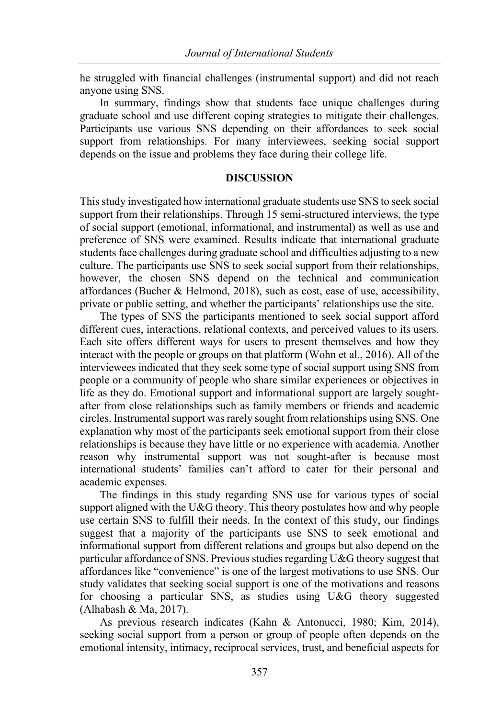he struggled with financial challenges (instrumental support) and did not reach anyone using SNS.

In summary, findings show that students face unique challenges during graduate school and use different coping strategies to mitigate their challenges. Participants use various SNS depending on their affordances to seek social support from relationships. For many interviewees, seeking social support depends on the issue and problems they face during their college life.

## **DISCUSSION**

This study investigated how international graduate students use SNS to seek social support from their relationships. Through 15 semi-structured interviews, the type of social support (emotional, informational, and instrumental) as well as use and preference of SNS were examined. Results indicate that international graduate students face challenges during graduate school and difficulties adjusting to a new culture. The participants use SNS to seek social support from their relationships, however, the chosen SNS depend on the technical and communication affordances (Bucher & Helmond, 2018), such as cost, ease of use, accessibility, private or public setting, and whether the participants' relationships use the site.

The types of SNS the participants mentioned to seek social support afford different cues, interactions, relational contexts, and perceived values to its users. Each site offers different ways for users to present themselves and how they interact with the people or groups on that platform (Wohn et al., 2016). All of the interviewees indicated that they seek some type of social support using SNS from people or a community of people who share similar experiences or objectives in life as they do. Emotional support and informational support are largely soughtafter from close relationships such as family members or friends and academic circles. Instrumental support was rarely sought from relationships using SNS. One explanation why most of the participants seek emotional support from their close relationships is because they have little or no experience with academia. Another reason why instrumental support was not sought-after is because most international students' families can't afford to cater for their personal and academic expenses.

The findings in this study regarding SNS use for various types of social support aligned with the U&G theory. This theory postulates how and why people use certain SNS to fulfill their needs. In the context of this study, our findings suggest that a majority of the participants use SNS to seek emotional and informational support from different relations and groups but also depend on the particular affordance of SNS. Previous studies regarding U&G theory suggest that affordances like "convenience" is one of the largest motivations to use SNS. Our study validates that seeking social support is one of the motivations and reasons for choosing a particular SNS, as studies using U&G theory suggested (Alhabash & Ma, 2017).

As previous research indicates (Kahn & Antonucci, 1980; Kim, 2014), seeking social support from a person or group of people often depends on the emotional intensity, intimacy, reciprocal services, trust, and beneficial aspects for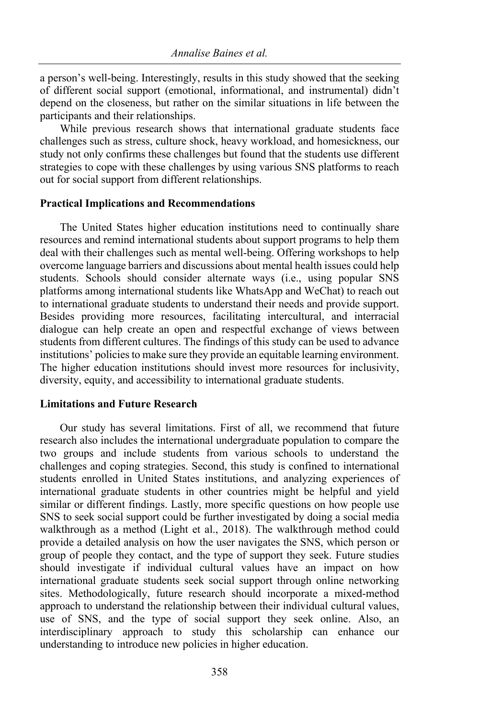a person's well-being. Interestingly, results in this study showed that the seeking of different social support (emotional, informational, and instrumental) didn't depend on the closeness, but rather on the similar situations in life between the participants and their relationships.

While previous research shows that international graduate students face challenges such as stress, culture shock, heavy workload, and homesickness, our study not only confirms these challenges but found that the students use different strategies to cope with these challenges by using various SNS platforms to reach out for social support from different relationships.

## **Practical Implications and Recommendations**

The United States higher education institutions need to continually share resources and remind international students about support programs to help them deal with their challenges such as mental well-being. Offering workshops to help overcome language barriers and discussions about mental health issues could help students. Schools should consider alternate ways (i.e., using popular SNS platforms among international students like WhatsApp and WeChat) to reach out to international graduate students to understand their needs and provide support. Besides providing more resources, facilitating intercultural, and interracial dialogue can help create an open and respectful exchange of views between students from different cultures. The findings of this study can be used to advance institutions' policies to make sure they provide an equitable learning environment. The higher education institutions should invest more resources for inclusivity, diversity, equity, and accessibility to international graduate students.

## **Limitations and Future Research**

Our study has several limitations. First of all, we recommend that future research also includes the international undergraduate population to compare the two groups and include students from various schools to understand the challenges and coping strategies. Second, this study is confined to international students enrolled in United States institutions, and analyzing experiences of international graduate students in other countries might be helpful and yield similar or different findings. Lastly, more specific questions on how people use SNS to seek social support could be further investigated by doing a social media walkthrough as a method (Light et al., 2018). The walkthrough method could provide a detailed analysis on how the user navigates the SNS, which person or group of people they contact, and the type of support they seek. Future studies should investigate if individual cultural values have an impact on how international graduate students seek social support through online networking sites. Methodologically, future research should incorporate a mixed-method approach to understand the relationship between their individual cultural values, use of SNS, and the type of social support they seek online. Also, an interdisciplinary approach to study this scholarship can enhance our understanding to introduce new policies in higher education.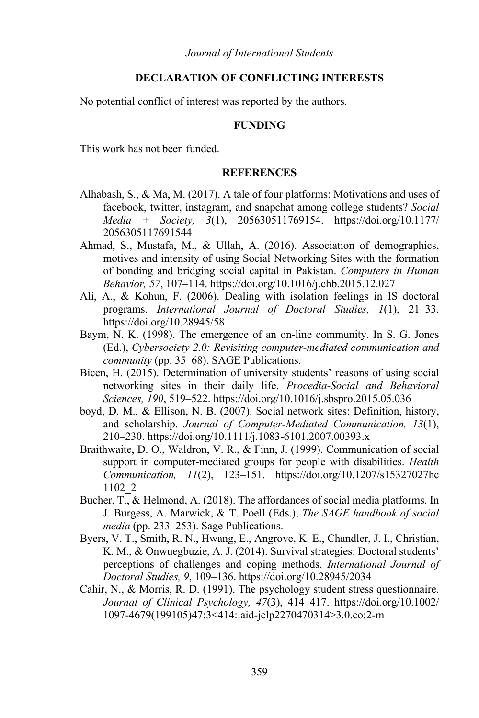## **DECLARATION OF CONFLICTING INTERESTS**

No potential conflict of interest was reported by the authors.

#### **FUNDING**

This work has not been funded.

#### **REFERENCES**

- Alhabash, S., & Ma, M. (2017). A tale of four platforms: Motivations and uses of facebook, twitter, instagram, and snapchat among college students? *Social Media + Society, 3*(1), 205630511769154. https://doi.org/10.1177/ 2056305117691544
- Ahmad, S., Mustafa, M., & Ullah, A. (2016). Association of demographics, motives and intensity of using Social Networking Sites with the formation of bonding and bridging social capital in Pakistan. *Computers in Human Behavior, 57*, 107–114. https://doi.org/10.1016/j.chb.2015.12.027
- Ali, A., & Kohun, F. (2006). Dealing with isolation feelings in IS doctoral programs. *International Journal of Doctoral Studies, 1*(1), 21–33. https://doi.org/10.28945/58
- Baym, N. K. (1998). The emergence of an on-line community. In S. G. Jones (Ed.), *Cybersociety 2.0: Revisiting computer-mediated communication and community* (pp. 35–68). SAGE Publications.
- Bicen, H. (2015). Determination of university students' reasons of using social networking sites in their daily life. *Procedia-Social and Behavioral Sciences, 190*, 519–522. https://doi.org/10.1016/j.sbspro.2015.05.036
- boyd, D. M., & Ellison, N. B. (2007). Social network sites: Definition, history, and scholarship. *Journal of Computer-Mediated Communication, 13*(1), 210–230. https://doi.org/10.1111/j.1083-6101.2007.00393.x
- Braithwaite, D. O., Waldron, V. R., & Finn, J. (1999). Communication of social support in computer-mediated groups for people with disabilities. *Health Communication, 11*(2), 123–151. https://doi.org/10.1207/s15327027hc 1102\_2
- Bucher, T., & Helmond, A. (2018). The affordances of social media platforms. In J. Burgess, A. Marwick, & T. Poell (Eds.), *The SAGE handbook of social media* (pp. 233–253). Sage Publications.
- Byers, V. T., Smith, R. N., Hwang, E., Angrove, K. E., Chandler, J. I., Christian, K. M., & Onwuegbuzie, A. J. (2014). Survival strategies: Doctoral students' perceptions of challenges and coping methods. *International Journal of Doctoral Studies, 9*, 109–136. https://doi.org/10.28945/2034
- Cahir, N., & Morris, R. D. (1991). The psychology student stress questionnaire. *Journal of Clinical Psychology, 47*(3), 414–417. https://doi.org/10.1002/ 1097-4679(199105)47:3<414::aid-jclp2270470314>3.0.co;2-m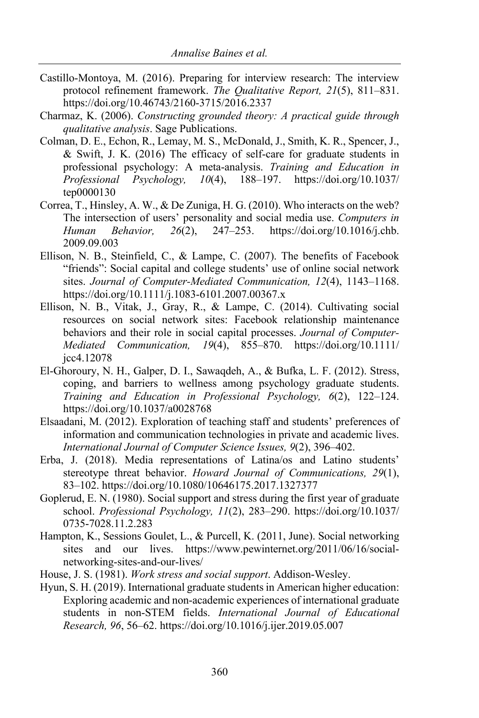- Castillo-Montoya, M. (2016). Preparing for interview research: The interview protocol refinement framework. *The Qualitative Report, 21*(5), 811–831. https://doi.org/10.46743/2160-3715/2016.2337
- Charmaz, K. (2006). *Constructing grounded theory: A practical guide through qualitative analysis*. Sage Publications.
- Colman, D. E., Echon, R., Lemay, M. S., McDonald, J., Smith, K. R., Spencer, J., & Swift, J. K. (2016) The efficacy of self-care for graduate students in professional psychology: A meta-analysis. *Training and Education in Professional Psychology, 10*(4), 188–197. https://doi.org/10.1037/ tep0000130
- Correa, T., Hinsley, A. W., & De Zuniga, H. G. (2010). Who interacts on the web? The intersection of users' personality and social media use. *Computers in Human Behavior, 26*(2), 247–253. https://doi.org/10.1016/j.chb. 2009.09.003
- Ellison, N. B., Steinfield, C., & Lampe, C. (2007). The benefits of Facebook "friends": Social capital and college students' use of online social network sites. *Journal of Computer-Mediated Communication, 12*(4), 1143–1168. https://doi.org/10.1111/j.1083-6101.2007.00367.x
- Ellison, N. B., Vitak, J., Gray, R., & Lampe, C. (2014). Cultivating social resources on social network sites: Facebook relationship maintenance behaviors and their role in social capital processes. *Journal of Computer-Mediated Communication, 19*(4), 855–870. https://doi.org/10.1111/ jcc4.12078
- El-Ghoroury, N. H., Galper, D. I., Sawaqdeh, A., & Bufka, L. F. (2012). Stress, coping, and barriers to wellness among psychology graduate students. *Training and Education in Professional Psychology, 6*(2), 122–124. https://doi.org/10.1037/a0028768
- Elsaadani, M. (2012). Exploration of teaching staff and students' preferences of information and communication technologies in private and academic lives. *International Journal of Computer Science Issues, 9*(2), 396–402.
- Erba, J. (2018). Media representations of Latina/os and Latino students' stereotype threat behavior. *Howard Journal of Communications, 29*(1), 83–102. https://doi.org/10.1080/10646175.2017.1327377
- Goplerud, E. N. (1980). Social support and stress during the first year of graduate school. *Professional Psychology, 11*(2), 283–290. https://doi.org/10.1037/ 0735-7028.11.2.283
- Hampton, K., Sessions Goulet, L., & Purcell, K. (2011, June). Social networking sites and our lives. https://www.pewinternet.org/2011/06/16/socialnetworking-sites-and-our-lives/
- House, J. S. (1981). *Work stress and social support*. Addison-Wesley.
- Hyun, S. H. (2019). International graduate students in American higher education: Exploring academic and non-academic experiences of international graduate students in non-STEM fields. *International Journal of Educational Research, 96*, 56–62. https://doi.org/10.1016/j.ijer.2019.05.007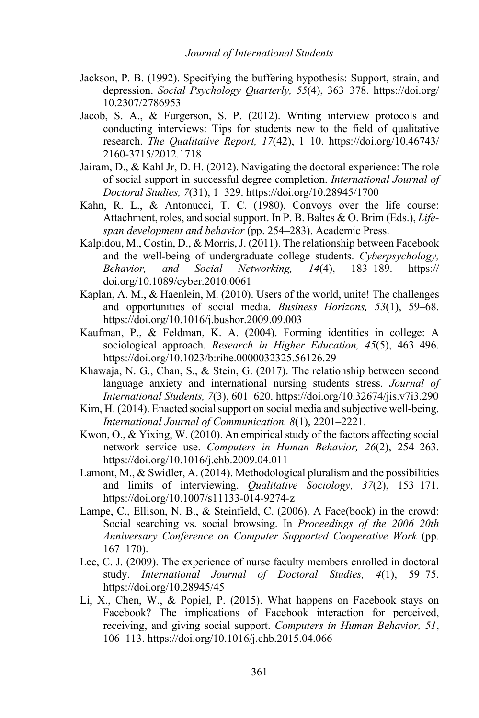- Jackson, P. B. (1992). Specifying the buffering hypothesis: Support, strain, and depression. *Social Psychology Quarterly, 55*(4), 363–378. https://doi.org/ 10.2307/2786953
- Jacob, S. A., & Furgerson, S. P. (2012). Writing interview protocols and conducting interviews: Tips for students new to the field of qualitative research. *The Qualitative Report, 17*(42), 1–10. https://doi.org/10.46743/ 2160-3715/2012.1718
- Jairam, D., & Kahl Jr, D. H. (2012). Navigating the doctoral experience: The role of social support in successful degree completion. *International Journal of Doctoral Studies, 7*(31), 1–329. https://doi.org/10.28945/1700
- Kahn, R. L., & Antonucci, T. C. (1980). Convoys over the life course: Attachment, roles, and social support. In P. B. Baltes & O. Brim (Eds.), *Lifespan development and behavior* (pp. 254–283). Academic Press.
- Kalpidou, M., Costin, D., & Morris, J. (2011). The relationship between Facebook and the well-being of undergraduate college students. *Cyberpsychology, Behavior, and Social Networking, 14*(4), 183–189. https:// doi.org/10.1089/cyber.2010.0061
- Kaplan, A. M., & Haenlein, M. (2010). Users of the world, unite! The challenges and opportunities of social media. *Business Horizons, 53*(1), 59–68. https://doi.org/10.1016/j.bushor.2009.09.003
- Kaufman, P., & Feldman, K. A. (2004). Forming identities in college: A sociological approach. *Research in Higher Education, 45*(5), 463–496. https://doi.org/10.1023/b:rihe.0000032325.56126.29
- Khawaja, N. G., Chan, S., & Stein, G. (2017). The relationship between second language anxiety and international nursing students stress. *Journal of International Students, 7*(3), 601–620. https://doi.org/10.32674/jis.v7i3.290
- Kim, H. (2014). Enacted social support on social media and subjective well-being. *International Journal of Communication, 8*(1), 2201–2221.
- Kwon, O., & Yixing, W. (2010). An empirical study of the factors affecting social network service use. *Computers in Human Behavior, 26*(2), 254–263. https://doi.org/10.1016/j.chb.2009.04.011
- Lamont, M., & Swidler, A. (2014). Methodological pluralism and the possibilities and limits of interviewing. *Qualitative Sociology, 37*(2), 153–171. https://doi.org/10.1007/s11133-014-9274-z
- Lampe, C., Ellison, N. B., & Steinfield, C. (2006). A Face(book) in the crowd: Social searching vs. social browsing. In *Proceedings of the 2006 20th Anniversary Conference on Computer Supported Cooperative Work* (pp. 167–170).
- Lee, C. J. (2009). The experience of nurse faculty members enrolled in doctoral study. *International Journal of Doctoral Studies, 4*(1), 59–75. https://doi.org/10.28945/45
- Li, X., Chen, W., & Popiel, P. (2015). What happens on Facebook stays on Facebook? The implications of Facebook interaction for perceived, receiving, and giving social support. *Computers in Human Behavior, 51*, 106–113. https://doi.org/10.1016/j.chb.2015.04.066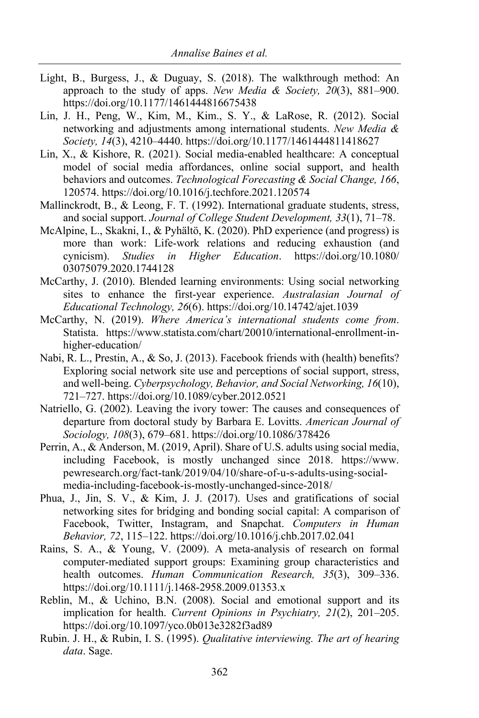- Light, B., Burgess, J., & Duguay, S. (2018). The walkthrough method: An approach to the study of apps. *New Media & Society, 20*(3), 881–900. https://doi.org/10.1177/1461444816675438
- Lin, J. H., Peng, W., Kim, M., Kim., S. Y., & LaRose, R. (2012). Social networking and adjustments among international students. *New Media & Society, 14*(3), 4210–4440. https://doi.org/10.1177/1461444811418627
- Lin, X., & Kishore, R. (2021). Social media-enabled healthcare: A conceptual model of social media affordances, online social support, and health behaviors and outcomes. *Technological Forecasting & Social Change, 166*, 120574. https://doi.org/10.1016/j.techfore.2021.120574
- Mallinckrodt, B., & Leong, F. T. (1992). International graduate students, stress, and social support. *Journal of College Student Development, 33*(1), 71–78.
- McAlpine, L., Skakni, I., & Pyhältö, K. (2020). PhD experience (and progress) is more than work: Life-work relations and reducing exhaustion (and cynicism). *Studies in Higher Education*. https://doi.org/10.1080/ 03075079.2020.1744128
- McCarthy, J. (2010). Blended learning environments: Using social networking sites to enhance the first-year experience. *Australasian Journal of Educational Technology, 26*(6). https://doi.org/10.14742/ajet.1039
- McCarthy, N. (2019). *Where America's international students come from*. Statista. https://www.statista.com/chart/20010/international-enrollment-inhigher-education/
- Nabi, R. L., Prestin, A., & So, J. (2013). Facebook friends with (health) benefits? Exploring social network site use and perceptions of social support, stress, and well-being. *Cyberpsychology, Behavior, and Social Networking, 16*(10), 721–727. https://doi.org/10.1089/cyber.2012.0521
- Natriello, G. (2002). Leaving the ivory tower: The causes and consequences of departure from doctoral study by Barbara E. Lovitts. *American Journal of Sociology, 108*(3), 679–681. https://doi.org/10.1086/378426
- Perrin, A., & Anderson, M. (2019, April). Share of U.S. adults using social media, including Facebook, is mostly unchanged since 2018. https://www. pewresearch.org/fact-tank/2019/04/10/share-of-u-s-adults-using-socialmedia-including-facebook-is-mostly-unchanged-since-2018/
- Phua, J., Jin, S. V., & Kim, J. J. (2017). Uses and gratifications of social networking sites for bridging and bonding social capital: A comparison of Facebook, Twitter, Instagram, and Snapchat. *Computers in Human Behavior, 72*, 115–122. https://doi.org/10.1016/j.chb.2017.02.041
- Rains, S. A., & Young, V. (2009). A meta-analysis of research on formal computer-mediated support groups: Examining group characteristics and health outcomes. *Human Communication Research, 35*(3), 309–336. https://doi.org/10.1111/j.1468-2958.2009.01353.x
- Reblin, M., & Uchino, B.N. (2008). Social and emotional support and its implication for health. *Current Opinions in Psychiatry, 21*(2), 201–205. https://doi.org/10.1097/yco.0b013e3282f3ad89
- Rubin. J. H., & Rubin, I. S. (1995). *Qualitative interviewing. The art of hearing data*. Sage.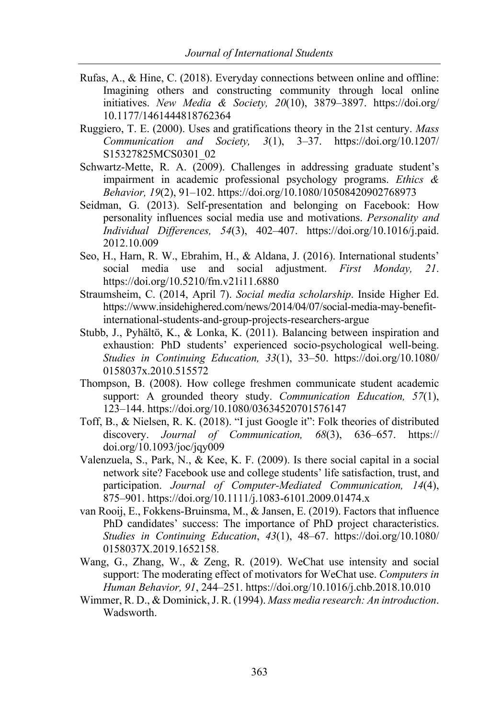- Rufas, A., & Hine, C. (2018). Everyday connections between online and offline: Imagining others and constructing community through local online initiatives. *New Media & Society, 20*(10), 3879–3897. https://doi.org/ 10.1177/1461444818762364
- Ruggiero, T. E. (2000). Uses and gratifications theory in the 21st century. *Mass Communication and Society, 3*(1), 3–37. https://doi.org/10.1207/ S15327825MCS0301\_02
- Schwartz-Mette, R. A. (2009). Challenges in addressing graduate student's impairment in academic professional psychology programs. *Ethics & Behavior, 19*(2), 91–102. https://doi.org/10.1080/10508420902768973
- Seidman, G. (2013). Self-presentation and belonging on Facebook: How personality influences social media use and motivations. *Personality and Individual Differences, 54*(3), 402–407. https://doi.org/10.1016/j.paid. 2012.10.009
- Seo, H., Harn, R. W., Ebrahim, H., & Aldana, J. (2016). International students' social media use and social adjustment. *First Monday, 21*. https://doi.org/10.5210/fm.v21i11.6880
- Straumsheim, C. (2014, April 7). *Social media scholarship*. Inside Higher Ed. https://www.insidehighered.com/news/2014/04/07/social-media-may-benefitinternational-students-and-group-projects-researchers-argue
- Stubb, J., Pyhältö, K., & Lonka, K. (2011). Balancing between inspiration and exhaustion: PhD students' experienced socio-psychological well-being. *Studies in Continuing Education, 33*(1), 33–50. https://doi.org/10.1080/ 0158037x.2010.515572
- Thompson, B. (2008). How college freshmen communicate student academic support: A grounded theory study. *Communication Education, 57*(1), 123–144. https://doi.org/10.1080/03634520701576147
- Toff, B., & Nielsen, R. K. (2018). "I just Google it": Folk theories of distributed discovery. *Journal of Communication, 68*(3), 636–657. https:// doi.org/10.1093/joc/jqy009
- Valenzuela, S., Park, N., & Kee, K. F. (2009). Is there social capital in a social network site? Facebook use and college students' life satisfaction, trust, and participation. *Journal of Computer-Mediated Communication, 14*(4), 875–901. https://doi.org/10.1111/j.1083-6101.2009.01474.x
- van Rooij, E., Fokkens-Bruinsma, M., & Jansen, E. (2019). Factors that influence PhD candidates' success: The importance of PhD project characteristics. *Studies in Continuing Education*, *43*(1), 48–67. https://doi.org/10.1080/ 0158037X.2019.1652158.
- Wang, G., Zhang, W., & Zeng, R. (2019). WeChat use intensity and social support: The moderating effect of motivators for WeChat use. *Computers in Human Behavior, 91*, 244–251. https://doi.org/10.1016/j.chb.2018.10.010
- Wimmer, R. D., & Dominick, J. R. (1994). *Mass media research: An introduction*. Wadsworth.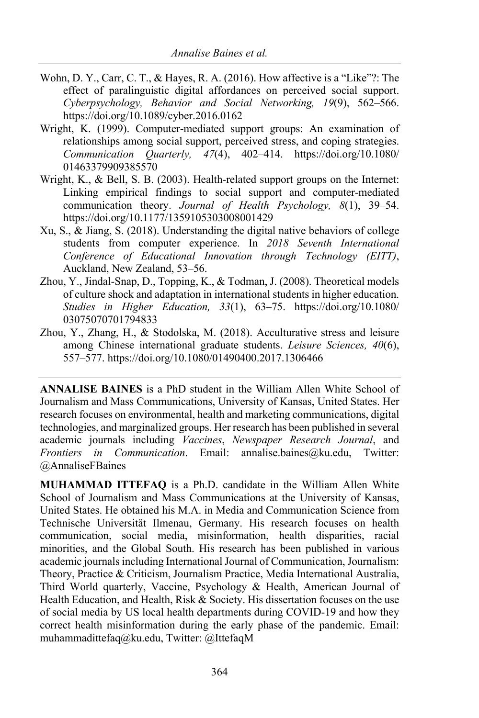- Wohn, D. Y., Carr, C. T., & Hayes, R. A. (2016). How affective is a "Like"?: The effect of paralinguistic digital affordances on perceived social support. *Cyberpsychology, Behavior and Social Networking, 19*(9), 562–566. https://doi.org/10.1089/cyber.2016.0162
- Wright, K. (1999). Computer-mediated support groups: An examination of relationships among social support, perceived stress, and coping strategies. *Communication Quarterly, 47*(4), 402–414. https://doi.org/10.1080/ 01463379909385570
- Wright, K., & Bell, S. B. (2003). Health-related support groups on the Internet: Linking empirical findings to social support and computer-mediated communication theory. *Journal of Health Psychology, 8*(1), 39–54. https://doi.org/10.1177/1359105303008001429
- Xu, S., & Jiang, S. (2018). Understanding the digital native behaviors of college students from computer experience. In *2018 Seventh International Conference of Educational Innovation through Technology (EITT)*, Auckland, New Zealand, 53–56.
- Zhou, Y., Jindal-Snap, D., Topping, K., & Todman, J. (2008). Theoretical models of culture shock and adaptation in international students in higher education. *Studies in Higher Education, 33*(1), 63–75. https://doi.org/10.1080/ 03075070701794833
- Zhou, Y., Zhang, H., & Stodolska, M. (2018). Acculturative stress and leisure among Chinese international graduate students. *Leisure Sciences, 40*(6), 557–577. https://doi.org/10.1080/01490400.2017.1306466

**ANNALISE BAINES** is a PhD student in the William Allen White School of Journalism and Mass Communications, University of Kansas, United States. Her research focuses on environmental, health and marketing communications, digital technologies, and marginalized groups. Her research has been published in several academic journals including *Vaccines*, *Newspaper Research Journal*, and *Frontiers in Communication*. Email: annalise.baines@ku.edu, Twitter: @AnnaliseFBaines

**MUHAMMAD ITTEFAQ** is a Ph.D. candidate in the William Allen White School of Journalism and Mass Communications at the University of Kansas, United States. He obtained his M.A. in Media and Communication Science from Technische Universität Ilmenau, Germany. His research focuses on health communication, social media, misinformation, health disparities, racial minorities, and the Global South. His research has been published in various academic journals including International Journal of Communication, Journalism: Theory, Practice & Criticism, Journalism Practice, Media International Australia, Third World quarterly, Vaccine, Psychology & Health, American Journal of Health Education, and Health, Risk & Society. His dissertation focuses on the use of social media by US local health departments during COVID-19 and how they correct health misinformation during the early phase of the pandemic. Email: muhammadittefaq@ku.edu, Twitter: @IttefaqM